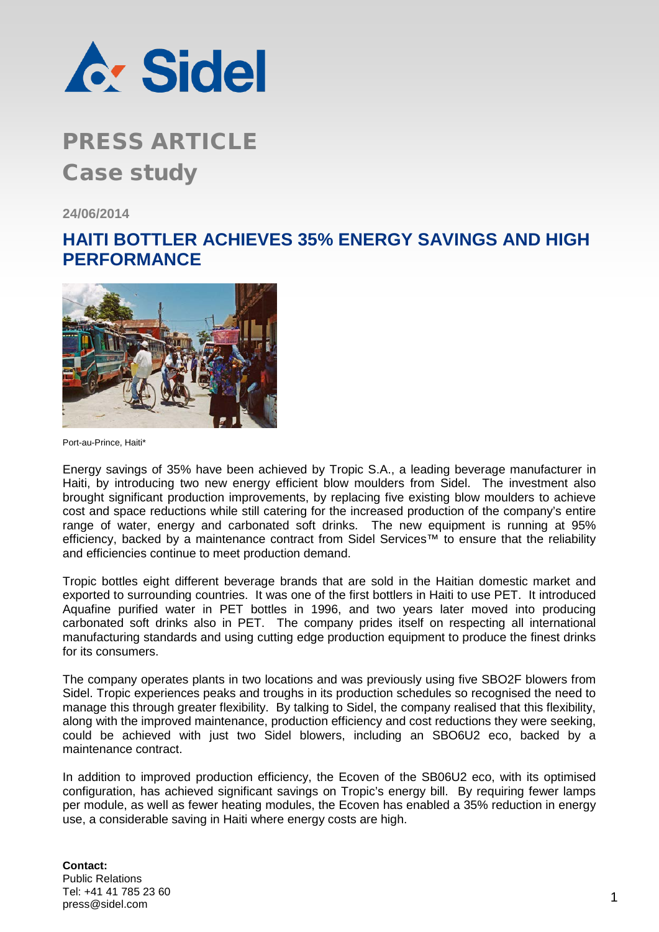

### **PRESS ARTICLE** Case study

**24/06/2014**

### **HAITI BOTTLER ACHIEVES 35% ENERGY SAVINGS AND HIGH PERFORMANCE**



Port-au-Prince, Haiti\*

Energy savings of 35% have been achieved by Tropic S.A., a leading beverage manufacturer in Haiti, by introducing two new energy efficient blow moulders from Sidel. The investment also brought significant production improvements, by replacing five existing blow moulders to achieve cost and space reductions while still catering for the increased production of the company's entire range of water, energy and carbonated soft drinks. The new equipment is running at 95% efficiency, backed by a maintenance contract from Sidel Services™ to ensure that the reliability and efficiencies continue to meet production demand.

Tropic bottles eight different beverage brands that are sold in the Haitian domestic market and exported to surrounding countries. It was one of the first bottlers in Haiti to use PET. It introduced Aquafine purified water in PET bottles in 1996, and two years later moved into producing carbonated soft drinks also in PET. The company prides itself on respecting all international manufacturing standards and using cutting edge production equipment to produce the finest drinks for its consumers.

The company operates plants in two locations and was previously using five SBO2F blowers from Sidel. Tropic experiences peaks and troughs in its production schedules so recognised the need to manage this through greater flexibility. By talking to Sidel, the company realised that this flexibility, along with the improved maintenance, production efficiency and cost reductions they were seeking, could be achieved with just two Sidel blowers, including an SBO6U2 eco, backed by a maintenance contract.

In addition to improved production efficiency, the Ecoven of the SB06U2 eco, with its optimised configuration, has achieved significant savings on Tropic's energy bill. By requiring fewer lamps per module, as well as fewer heating modules, the Ecoven has enabled a 35% reduction in energy use, a considerable saving in Haiti where energy costs are high.

#### **Contact:** Public Relations Tel: +41 41 785 23 60 nei. +41 41 765 23 60<br>press@sidel.com 1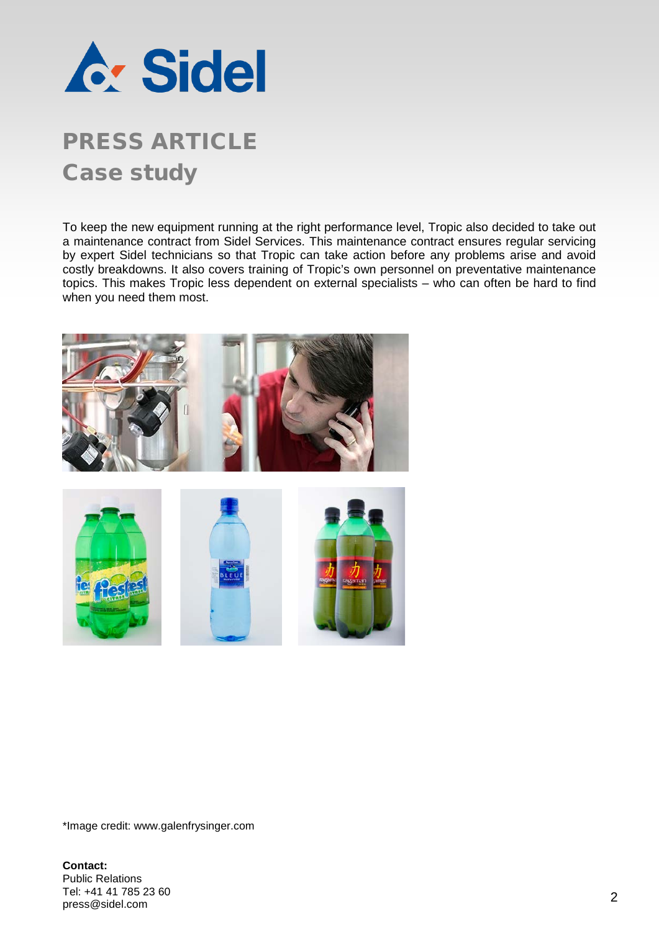

# PRESS ARTICLE Case study

To keep the new equipment running at the right performance level, Tropic also decided to take out a maintenance contract from Sidel Services. This maintenance contract ensures regular servicing by expert Sidel technicians so that Tropic can take action before any problems arise and avoid costly breakdowns. It also covers training of Tropic's own personnel on preventative maintenance topics. This makes Tropic less dependent on external specialists – who can often be hard to find when you need them most.



\*Image credit: www.galenfrysinger.com

**Contact:** Public Relations Tel: +41 41 785 23 60<br>press@sidel.com nei. +41 41 765 23 60<br>press@sidel.com 22